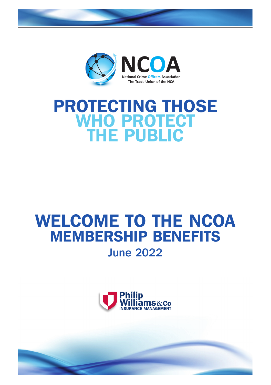

# PROTECTING THOSE WHO PROTECT THE PUBLIC

## WELCOME TO THE NCOA MEMBERSHIP BENEFITS June 2022

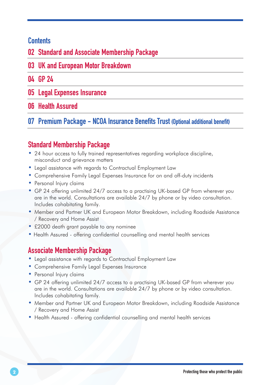## **Contents**

02 Standard and Associate Membership Package

03 UK and European Motor Breakdown

## 04 GP 24

- 05 Legal Expenses Insurance
- 06 Health Assured

07 Premium Package - NCOA Insurance Benefits Trust (Optional additional benefit)

## Standard Membership Package

- 24 hour access to fully trained representatives regarding workplace discipline, misconduct and grievance matters
- Legal assistance with regards to Contractual Employment Law
- Comprehensive Family Legal Expenses Insurance for on and off-duty incidents
- Personal Injury claims
- GP 24 offering unlimited 24/7 access to a practising UK-based GP from wherever you are in the world. Consultations are available 24/7 by phone or by video consultation. Includes cohabitating family.
- Member and Partner UK and European Motor Breakdown, including Roadside Assistance / Recovery and Home Assist
- £2000 death grant payable to any nominee
- Health Assured offering confidential counselling and mental health services

## Associate Membership Package

- Legal assistance with regards to Contractual Employment Law
- Comprehensive Family Legal Expenses Insurance
- Personal Injury claims
- GP 24 offering unlimited 24/7 access to a practising UK-based GP from wherever you are in the world. Consultations are available 24/7 by phone or by video consultation. Includes cohabitating family.
- Member and Partner UK and European Motor Breakdown, including Roadside Assistance / Recovery and Home Assist
- Health Assured offering confidential counselling and mental health services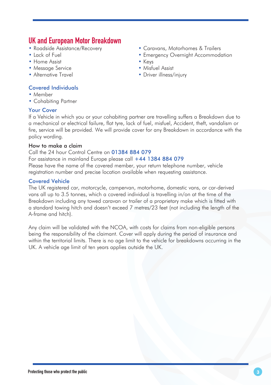## **UK and European Motor Breakdown**<br>• Roadside Assistance/Recovery

- 
- 
- Home Assist Keys
- Message Service Misfuel Assist
- 

### Covered Individuals

- Member
- Cohabiting Partner

#### Your Cover

If a Vehicle in which you or your cohabiting partner are travelling suffers a Breakdown due to a mechanical or electrical failure, flat tyre, lack of fuel, misfuel, Accident, theft, vandalism or fire, service will be provided. We will provide cover for any Breakdown in accordance with the policy wording.

#### How to make a claim

#### Call the 24 hour Control Centre on 01384 884 079

For assistance in mainland Europe please call  $+44$  1384 884 079

Please have the name of the covered member, your return telephone number, vehicle registration number and precise location available when requesting assistance.

#### Covered Vehicle

The UK registered car, motorcycle, campervan, motorhome, domestic vans, or car-derived vans all up to 3.5 tonnes, which a covered individual is travelling in/on at the time of the Breakdown including any towed caravan or trailer of a proprietary make which is fitted with a standard towing hitch and doesn't exceed 7 metres/23 feet (not including the length of the A-frame and hitch).

Any claim will be validated with the NCOA, with costs for claims from non-eligible persons being the responsibility of the claimant. Cover will apply during the period of insurance and within the territorial limits. There is no age limit to the vehicle for breakdowns occurring in the UK. A vehicle age limit of ten years applies outside the UK.

- Roadside Assistance/Recovery Caravans, Motorhomes & Trailers
	- Emergency Overnight Accommodation
		-
	-
	- Driver illness/injury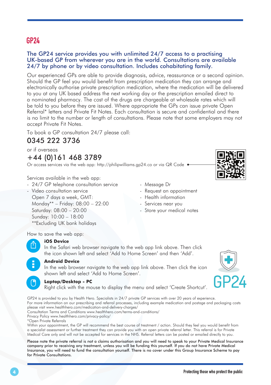## GP24

#### The GP24 service provides you with unlimited 24/7 access to a practising UK-based GP from wherever you are in the world. Consultations are available 24/7 by phone or by video consultation. Includes cohabitating family.

Our experienced GPs are able to provide diagnosis, advice, reassurance or a second opinion. Should the GP feel you would benefit from prescription medication they can arrange and electronically authorise private prescription medication, where the medication will be delivered to you at any UK based address the next working day or the prescription emailed direct to a nominated pharmacy. The cost of the drugs are chargeable at wholesale rates which will be told to you before they are issued. Where appropriate the GPs can issue private Open Referral\* letters and Private Fit Notes. Each consultation is secure and confidential and there is no limit to the number or length of consultations. Please note that some employers may not accept Private Fit Notes.

To book a GP consultation 24/7 please call:

## 0345 222 3736

or if overseas

+44 (0)161 468 3789

Or access services via the web app: http://philipwilliams.ap24.co or via QR Code

Services available in the web app:

- 24/7 GP telephone consultation service

- Video consultation service Open 7 days a week, GMT: Monday\*\* – Friday: 08:00 – 22:00 Saturday: 08:00 – 20:00 Sunday: 10:00 – 18:00 \*\*Excluding UK bank holidays

- Message Dr
- Request an appointment
- Health information
- Services near you
- Store your medical notes

How to save the web app:



#### **iOS Device**

In the Safari web browser navigate to the web app link above. Then click the icon shown left and select 'Add to Home Screen' and then 'Add'.



#### **Android Device**

In the web browser navigate to the web app link above. Then click the icon shown left and select 'Add to Home Screen'.

#### **Laptop/Desktop - PC**

Right click with the mouse to display the menu and select 'Create Shortcut'.

GP24 is provided to you by Health Hero. Specialists in 24/7 private GP services with over 20 years of experience. For more information on our prescribing and referral processes, including example medication and postage and packaging costs please visit www.healthhero.com/medication-and-delivery-charges/

Consultation Terms and Conditions www.healthhero.com/terms-and-conditions/

Privacy Policy www.healthhero.com/privacy-policy/

\*Open Private Referrals

Within your appointment, the GP will recommend the best course of treatment / action. Should they feel you would benefit from a specialist assessment or further treatment they can provide you with an open private referral letter. This referral is for Private Medical Care only and will not be accepted for services in the NHS. Referral letters can be posted or emailed directly to you.

Please note the private referral is not a claims authorisation and you will need to speak to your Private Medical Insurance company prior to receiving any treatment, unless you will be funding this yourself. If you do not have Private Medical Insurance, you will need to fund the consultation yourself. There is no cover under this Group Insurance Scheme to pay for Private Consultations.

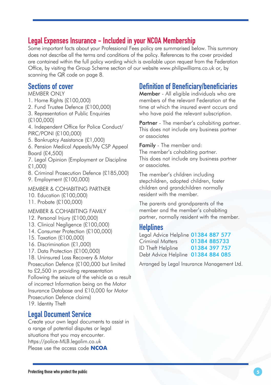## Legal Expenses Insurance - Included in your NCOA Membership

Some important facts about your Professional Fees policy are summarised below. This summary does not describe all the terms and conditions of the policy. References to the cover provided are contained within the full policy wording which is available upon request from the Federation Office, by visiting the Group Scheme section of our website www.philipwilliams.co.uk or, by scanning the QR code on page 8.

### Sections of cover

- MEMBER ONLY
- 1. Home Rights (£100,000)
- 2. Fund Trustee Defence (£100,000)
- 3. Representation at Public Enquiries
- (£100,000)
- 4. Independent Office for Police Conduct/ PIRC/PONI (£100,000)
- 5. Bankruptcy Assistance (£1,000)
- 6. Pension Medical Appeals/My CSP Appeal Board (£4,500)
- 7. Legal Opinion (Employment or Discipline £1,000)
- 8. Criminal Prosecution Defence (£185,000)
- 9. Employment (£100,000)

MEMBER & COHABITING PARTNER

- 10. Education (£100,000)
- 11. Probate (£100,000)
- MEMBER & COHABITING FAMILY
- 12. Personal Injury (£100,000)
- 13. Clinical Negligence (£100,000)
- 14. Consumer Protection (£100,000)
- 15. Taxation (£100,000)
- 16. Discrimination (£1,000)
- 17. Data Protection (£100,000)

18. Uninsured Loss Recovery & Motor Prosecution Defence (£100,000 but limited to £2,500 in providing representation Following the seizure of the vehicle as a result of incorrect Information being on the Motor Insurance Database and £10,000 for Motor Prosecution Defence claims) 19. Identity Theft

## Legal Document Service

Create your own legal documents to assist in a range of potential disputes or legal situations that you may encounter. https://police-MLB.legalim.co.uk Please use the access code **NCOA**

## Definition of Beneficiary/beneficiaries

Member - All eligible individuals who are members of the relevant Federation at the time at which the insured event occurs and who have paid the relevant subscription.

Partner - The member's cohabiting partner. This does not include any business partner or associates

Family - The member and: The member's cohabiting partner. This does not include any business partner or associates.

The member's children including stepchildren, adopted children, foster children and grandchildren normally resident with the member.

The parents and grandparents of the member and the member's cohabiting partner, normally resident with the member.

## **Helplines**

| Legal Advice Helpline 01384 887 577 |               |  |
|-------------------------------------|---------------|--|
| Criminal Matters                    | 01384 885733  |  |
| <b>ID Theft Helpline</b>            | 01384 397 757 |  |
| Debt Advice Helpline 01384 884 085  |               |  |

Arranged by Legal Insurance Management Ltd.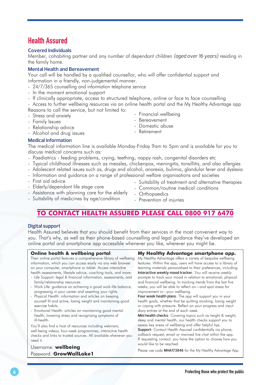## Health Assured

#### **Covered Individuals**

Member, cohabiting partner and any number of dependant children *(aged over 16 years)* residing in the family home.

#### **Mental Health and Bereavement**

Your call will be handled by a qualified counsellor, who will offer confidential support and information in a friendly, non-judgemental manner.

- 24/7/365 counselling and information telephone service
- In the moment emotional support
- If clinically appropriate, access to structured telephone, online or face to face counselling

- Access to further wellbeing resources via an online health portal and the My Healthy Advantage app Reasons to call the service, but not limited to: - Financial wellbeing

- Stress and anxiety
- Family Issues
- Relationship advice
- Alcohol and drug issues
- 

#### **Medical information**

The medical information line is available Monday-Friday 9am to 5pm and is available for you to discuss medical concerns such as:

- Paediatrics feeding problems, crying, teething, nappy rash, congenital disorders etc
- Typical childhood illnesses such as measles, chickenpox, meningitis, tonsillitis, and also allergies
- Adolescent related issues such as, drugs and alcohol, anorexia, bulimia, glandular fever and dyslexia
- Information and guidance on a range of professional welfare organisations and societies
- First aid advice
- Elderly/dependant life stage care
- Suitability of treatment and alternative therapies
- Common/routine medical conditions - Orthopaedics
- Assistance with planning care for the elderly - Suitability of medicines by age/condition
- Prevention of injuries

## **TO CONTACT HEALTH ASSURED PLEASE CALL 0800 917 6470**

#### **Digital support**

Health Assured believes that you should benefit from their services in the most convenient way to you. That's why, as well as their phone-based counselling and legal guidance they've developed an online portal and smartphone app accessible whenever you like, wherever you might be.

#### **Online health & wellbeing portal**

Their online portal features a comprehensive library of wellbeing information, which you can access easily via any web browser on your computer, smartphone or tablet. Access interactive health assessments, lifestyle advice, coaching tools, and more:

- Life Support: legal & financial information, assessments, and family/relationship resources.
- Work Life: guidance on achieving a good work-life balance, progressing in your career and asserting your rights.
- Physical Health: information and articles on keeping yourself fit and active, losing weight and maintaining good exercise habits.
- Emotional Health: articles on maintaining good mental health, lowering stress and recognising symptoms of ill-health.

You'll also find a host of resources including webinars, well-being videos, four-week programmes, interactive health checks and links to trusted sources. All available whenever you need it.

#### Username: **wellbeing** Password: **GrowWallLake1**

**My Healthy Advantage smartphone app.**

My Healthy Advantage offers a variety of bespoke wellbeing features. Within the app, users will have access to a library of learning materials personalised to their preferences, including: **Interactive weekly mood tracker**: You will receive weekly prompts to track your mood in relation to emotional, physical and financial wellbeing. In tracking trends from the last five weeks, you will be able to reflect on—and spot areas for improvement in—your wellbeing.

**Four week health plans**: The app will support you in your health goals, whether that be quitting smoking, losing weight or coping with pressure. Reflect on your progress and input diary entries at the end of each week.

**Mini health checks**: Covering topics such as height & weight, sleep and mental health, our health checks support you to assess key areas of wellbeing and offer helpful tips.

**Support**: Contact Health Assured confidentially via phone, callback request, email or manned live chat within the app. If requesting contact, you have the option to choose how you would like to be reached.

Please use code **MHA173846** for the My Healthy Advantage App.

- Bereavement

- Retirement
- 
- Domestic abuse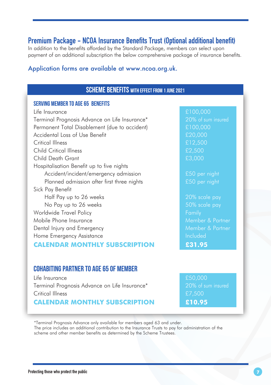## Premium Package - NCOA Insurance Benefits Trust (Optional additional benefit)

In addition to the benefits afforded by the Standard Package, members can select upon payment of an additional subscription the below comprehensive package of insurance benefits.

#### Application forms are available at www.ncoa.org.uk.

### SCHEME BENEFITS WITH EFFECT FROM 1 JUNE 2021

#### Serving Member to age 65 Benefits

 $\frac{1}{2}$  life Insurance Terminal Prognosis Advance on Life Insurance\* 20% of sum insured Permanent Total Disablement (due to accident) £100,000 Accidental Loss of Use Benefit **EXACCO EXACCO EXACCO EXACCO EXACCO EXACCO EXACCO EXACCO EXACCO EXACCO EXACCO EXACCO EXACCO EXACCO EXACCO EXACCO EXACCO EXACCO EXACCO EXACCO EXACCO EXACCO EXACCO EXACCO EXACCO EXACCO EXACCO E** Critical Illness **E12,500** Child Critical Illness £2,500 Child Death Grant **EXACTS EXACTS EXACTS EXACTS** Hospitalisation Benefit up to five nights Accident/incident/emergency admission **£50** per night Planned admission after first three nights **E50** per night Sick Pay Benefit Half Pay up to 26 weeks 20% scale pay No Pay up to 26 weeks 60% scale pay Worldwide Travel Policy **Family** Family Mobile Phone Insurance Member & Partner Dental Injury and Emergency Member & Partner Home Emergency Assistance **Included** Included **CALENDAR MONTHLY SUBSCRIPTION £31.95**

## COHABITING PARTNER TO AGE 65 OF MEMBER

Life Insurance **EXECUTE:**  $\frac{50,000}{50}$ Terminal Prognosis Advance on Life Insurance\* 20% of sum insured Critical Illness **EX**, 500

**CALENDAR MONTHLY SUBSCRIPTION £10.95**

\*Terminal Prognosis Advance only available for members aged 63 and under. The price includes an additional contribution to the Insurance Trusts to pay for administration of the scheme and other member benefits as determined by the Scheme Trustees.